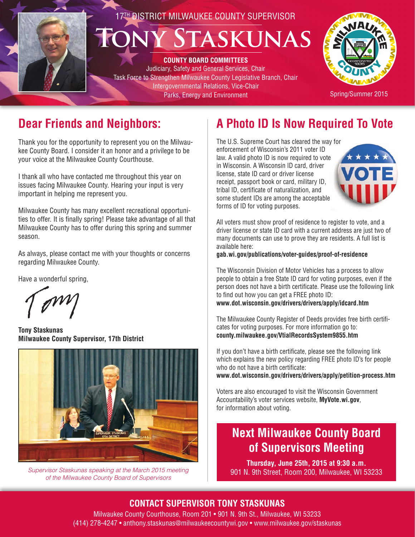# 17TH DISTRICT MILWAUKEE COUNTY SUPERVISOR **TASKUNAS**

**COUNTY BOARD COMMITTEES** Judiciary, Safety and General Services, Chair Task Force to Strengthen Milwaukee County Legislative Branch, Chair Intergovernmental Relations, Vice-Chair Parks, Energy and Environment



Spring/Summer 2015

# **Dear Friends and Neighbors:**

Thank you for the opportunity to represent you on the Milwaukee County Board. I consider it an honor and a privilege to be your voice at the Milwaukee County Courthouse.

I thank all who have contacted me throughout this year on issues facing Milwaukee County. Hearing your input is very important in helping me represent you.

Milwaukee County has many excellent recreational opportunities to offer. It is finally spring! Please take advantage of all that Milwaukee County has to offer during this spring and summer season.

As always, please contact me with your thoughts or concerns regarding Milwaukee County.

Have a wonderful spring,

**Tony Staskunas Milwaukee County Supervisor, 17th District**



*Supervisor Staskunas speaking at the March 2015 meeting of the Milwaukee County Board of Supervisors* 

# **A Photo ID Is Now Required To Vote**

The U.S. Supreme Court has cleared the way for enforcement of Wisconsin's 2011 voter ID law. A valid photo ID is now required to vote in Wisconsin. A Wisconsin ID card, driver license, state ID card or driver license receipt, passport book or card, military ID, tribal ID, certificate of naturalization, and some student IDs are among the acceptable forms of ID for voting purposes.



All voters must show proof of residence to register to vote, and a driver license or state ID card with a current address are just two of many documents can use to prove they are residents. A full list is available here:

**gab.wi.gov/publications/voter-guides/proof-of-residence** 

The Wisconsin Division of Motor Vehicles has a process to allow people to obtain a free State ID card for voting purposes, even if the person does not have a birth certificate. Please use the following link to find out how you can get a FREE photo ID: **www.dot.wisconsin.gov/drivers/drivers/apply/idcard.htm**

The Milwaukee County Register of Deeds provides free birth certificates for voting purposes. For more information go to: **county.milwaukee.gov/VtialRecordsSystem9855.htm**

If you don't have a birth certificate, please see the following link which explains the new policy regarding FREE photo ID's for people who do not have a birth certificate: **www.dot.wisconsin.gov/drivers/drivers/apply/petition-process.htm**

Voters are also encouraged to visit the Wisconsin Government Accountability's voter services website, **MyVote.wi.gov**, for information about voting.

# **Next Milwaukee County Board of Supervisors Meeting**

**Thursday, June 25th, 2015 at 9:30 a.m.** 901 N. 9th Street, Room 200, Milwaukee, WI 53233

## **CONTACT SUPERVISOR TONY STASKUNAS**

Milwaukee County Courthouse, Room 201 • 901 N. 9th St., Milwaukee, WI 53233 (414) 278-4247 • anthony.staskunas@milwaukeecountywi.gov • www.milwaukee.gov/staskunas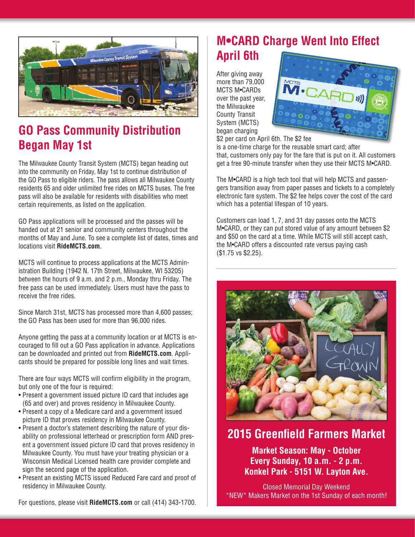

# **GO Pass Community Distribution Began May 1st**

The Milwaukee County Transit System (MCTS) began heading out into the community on Friday, May 1st to continue distribution of the GO Pass to eligible riders. The pass allows all Milwaukee County residents 65 and older unlimited free rides on MCTS buses. The free pass will also be available for residents with disabilities who meet certain requirements, as listed on the application.

GO Pass applications will be processed and the passes will be handed out at 21 senior and community centers throughout the months of May and June. To see a complete list of dates, times and locations visit **RideMCTS.com**.

MCTS will continue to process applications at the MCTS Administration Building (1942 N. 17th Street, Milwaukee, WI 53205) between the hours of 9 a.m. and 2 p.m., Monday thru Friday. The free pass can be used immediately. Users must have the pass to receive the free rides.

Since March 31st, MCTS has processed more than 4,600 passes; the GO Pass has been used for more than 96,000 rides.

Anyone getting the pass at a community location or at MCTS is encouraged to fill out a GO Pass application in advance. Applications can be downloaded and printed out from **RideMCTS.com**. Applicants should be prepared for possible long lines and wait times.

There are four ways MCTS will confirm eligibility in the program, but only one of the four is required:

- Present a government issued picture ID card that includes age (65 and over) and proves residency in Milwaukee County.
- Present a copy of a Medicare card and a government issued picture ID that proves residency in Milwaukee County.
- Present a doctor's statement describing the nature of your disability on professional letterhead or prescription form AND present a government issued picture ID card that proves residency in Milwaukee County. You must have your treating physician or a Wisconsin Medical Licensed health care provider complete and sign the second page of the application.
- Present an existing MCTS issued Reduced Fare card and proof of residency in Milwaukee County.

**M•CARD Charge Went Into Effect April 6th**

After giving away more than 79,000 MCTS M•CARDs over the past year, the Milwaukee County Transit System (MCTS) began charging



\$2 per card on April 6th. The \$2 fee

is a one-time charge for the reusable smart card; after that, customers only pay for the fare that is put on it. All customers get a free 90-minute transfer when they use their MCTS M•CARD.

The M•CARD is a high tech tool that will help MCTS and passengers transition away from paper passes and tickets to a completely electronic fare system. The \$2 fee helps cover the cost of the card which has a potential lifespan of 10 years.

Customers can load 1, 7, and 31 day passes onto the MCTS M•CARD, or they can put stored value of any amount between \$2 and \$50 on the card at a time. While MCTS will still accept cash, the M•CARD offers a discounted rate versus paying cash (\$1.75 vs \$2.25).



# **2015 Greenfield Farmers Market**

**Market Season: May - October Every Sunday, 10 a.m. - 2 p.m. Konkel Park - 5151 W. Layton Ave.**

Closed Memorial Day Weekend \*NEW\* Makers Market on the 1st Sunday of each month!

For questions, please visit **RideMCTS.com** or call (414) 343-1700.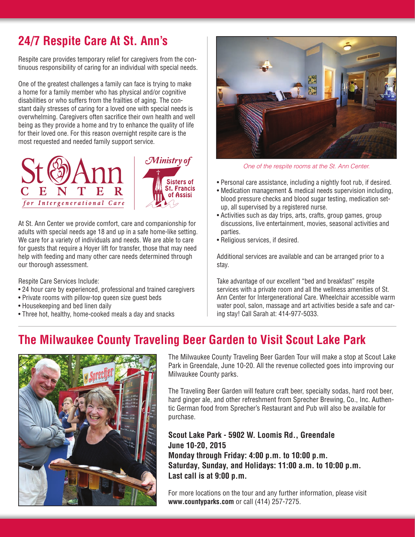# **24/7 Respite Care At St. Ann's**

Respite care provides temporary relief for caregivers from the continuous responsibility of caring for an individual with special needs.

One of the greatest challenges a family can face is trying to make a home for a family member who has physical and/or cognitive disabilities or who suffers from the frailties of aging. The constant daily stresses of caring for a loved one with special needs is overwhelming. Caregivers often sacrifice their own health and well being as they provide a home and try to enhance the quality of life for their loved one. For this reason overnight respite care is the most requested and needed family support service.



At St. Ann Center we provide comfort, care and companionship for adults with special needs age 18 and up in a safe home-like setting. We care for a variety of individuals and needs. We are able to care for guests that require a Hoyer lift for transfer, those that may need help with feeding and many other care needs determined through our thorough assessment.

Respite Care Services Include:

- 24 hour care by experienced, professional and trained caregivers
- Private rooms with pillow-top queen size guest beds
- Housekeeping and bed linen daily
- Three hot, healthy, home-cooked meals a day and snacks



*One of the respite rooms at the St. Ann Center.*

- Personal care assistance, including a nightly foot rub, if desired.
- Medication management & medical needs supervision including, blood pressure checks and blood sugar testing, medication setup, all supervised by a registered nurse.
- Activities such as day trips, arts, crafts, group games, group discussions, live entertainment, movies, seasonal activities and parties.
- Religious services, if desired.

Additional services are available and can be arranged prior to a stay.

Take advantage of our excellent "bed and breakfast" respite services with a private room and all the wellness amenities of St. Ann Center for Intergenerational Care. Wheelchair accessible warm water pool, salon, massage and art activities beside a safe and caring stay! Call Sarah at: 414-977-5033.

# **The Milwaukee County Traveling Beer Garden to Visit Scout Lake Park**



The Milwaukee County Traveling Beer Garden Tour will make a stop at Scout Lake Park in Greendale, June 10-20. All the revenue collected goes into improving our Milwaukee County parks.

The Traveling Beer Garden will feature craft beer, specialty sodas, hard root beer, hard ginger ale, and other refreshment from Sprecher Brewing, Co., Inc. Authentic German food from Sprecher's Restaurant and Pub will also be available for purchase.

**Scout Lake Park - 5902 W. Loomis Rd., Greendale June 10-20, 2015 Monday through Friday: 4:00 p.m. to 10:00 p.m. Saturday, Sunday, and Holidays: 11:00 a.m. to 10:00 p.m. Last call is at 9:00 p.m.**

For more locations on the tour and any further information, please visit **www.countyparks.com** or call (414) 257-7275.